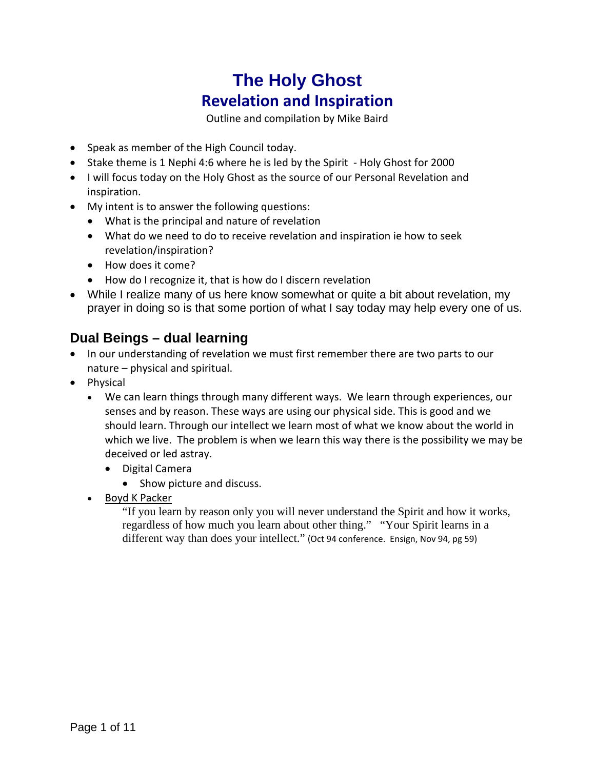# **The Holy Ghost Revelation and Inspiration**

Outline and compilation by Mike Baird

- Speak as member of the High Council today.
- Stake theme is 1 Nephi 4:6 where he is led by the Spirit ‐ Holy Ghost for 2000
- I will focus today on the Holy Ghost as the source of our Personal Revelation and inspiration.
- My intent is to answer the following questions:
	- What is the principal and nature of revelation
	- What do we need to do to receive revelation and inspiration ie how to seek revelation/inspiration?
	- How does it come?
	- How do I recognize it, that is how do I discern revelation
- While I realize many of us here know somewhat or quite a bit about revelation, my prayer in doing so is that some portion of what I say today may help every one of us.

# **Dual Beings – dual learning**

- In our understanding of revelation we must first remember there are two parts to our nature – physical and spiritual.
- Physical
	- We can learn things through many different ways. We learn through experiences, our senses and by reason. These ways are using our physical side. This is good and we should learn. Through our intellect we learn most of what we know about the world in which we live. The problem is when we learn this way there is the possibility we may be deceived or led astray.
		- Digital Camera
			- Show picture and discuss.
	- Boyd K Packer

"If you learn by reason only you will never understand the Spirit and how it works, regardless of how much you learn about other thing." "Your Spirit learns in a different way than does your intellect." (Oct 94 conference. Ensign, Nov 94, pg 59)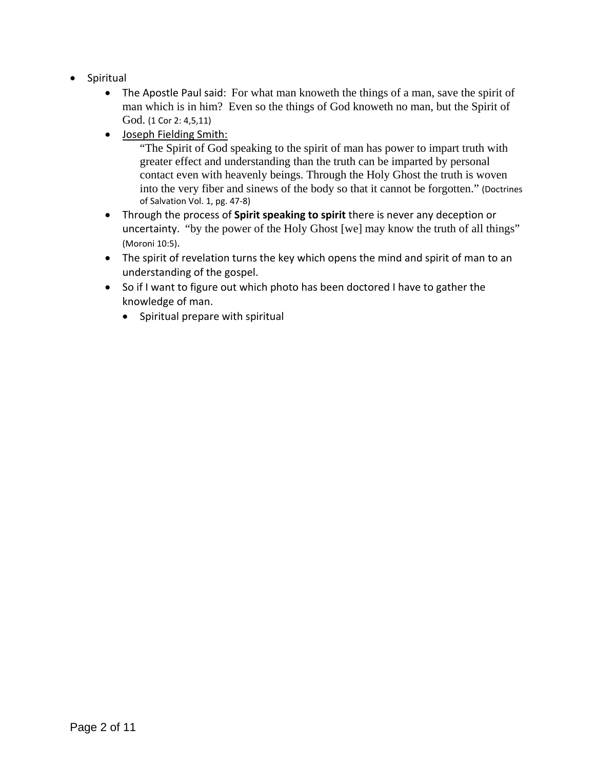- Spiritual
	- The Apostle Paul said: For what man knoweth the things of a man, save the spirit of man which is in him? Even so the things of God knoweth no man, but the Spirit of God. (1 Cor 2: 4,5,11)
	- Joseph Fielding Smith:

"The Spirit of God speaking to the spirit of man has power to impart truth with greater effect and understanding than the truth can be imparted by personal contact even with heavenly beings. Through the Holy Ghost the truth is woven into the very fiber and sinews of the body so that it cannot be forgotten." (Doctrines of Salvation Vol. 1, pg. 47‐8)

- Through the process of **Spirit speaking to spirit** there is never any deception or uncertainty. "by the power of the Holy Ghost [we] may know the truth of all things" (Moroni 10:5).
- The spirit of revelation turns the key which opens the mind and spirit of man to an understanding of the gospel.
- So if I want to figure out which photo has been doctored I have to gather the knowledge of man.
	- Spiritual prepare with spiritual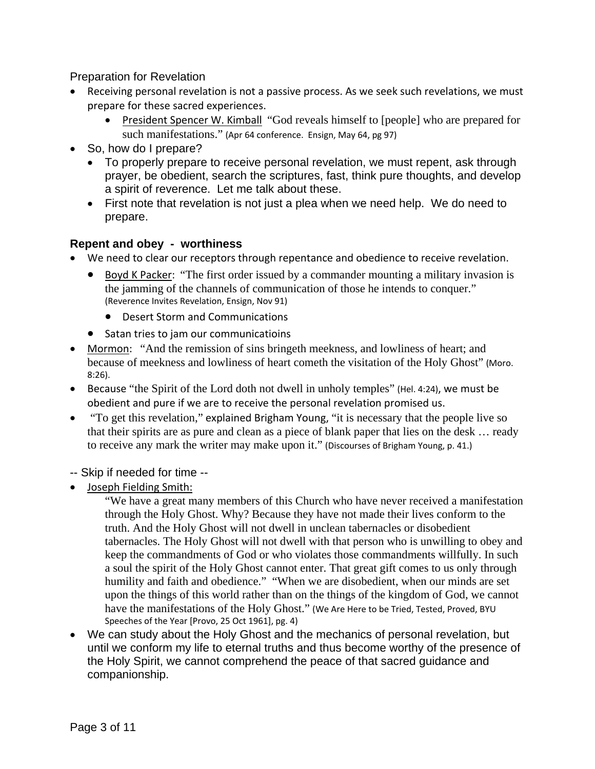### Preparation for Revelation

- Receiving personal revelation is not a passive process. As we seek such revelations, we must prepare for these sacred experiences.
	- President Spencer W. Kimball "God reveals himself to [people] who are prepared for such manifestations." (Apr 64 conference. Ensign, May 64, pg 97)
- So, how do I prepare?
	- To properly prepare to receive personal revelation, we must repent, ask through prayer, be obedient, search the scriptures, fast, think pure thoughts, and develop a spirit of reverence. Let me talk about these.
	- First note that revelation is not just a plea when we need help. We do need to prepare.

# **Repent and obey - worthiness**

- We need to clear our receptors through repentance and obedience to receive revelation.
	- Boyd K Packer: "The first order issued by a commander mounting a military invasion is the jamming of the channels of communication of those he intends to conquer." (Reverence Invites Revelation, Ensign, Nov 91)
		- Desert Storm and Communications
	- Satan tries to jam our communicatioins
- Mormon: "And the remission of sins bringeth meekness, and lowliness of heart; and because of meekness and lowliness of heart cometh the visitation of the Holy Ghost" (Moro. 8:26).
- Because "the Spirit of the Lord doth not dwell in unholy temples" (Hel. 4:24), we must be obedient and pure if we are to receive the personal revelation promised us.
- "To get this revelation," explained Brigham Young, "it is necessary that the people live so that their spirits are as pure and clean as a piece of blank paper that lies on the desk … ready to receive any mark the writer may make upon it." (Discourses of Brigham Young, p. 41.)
- -- Skip if needed for time --
- Joseph Fielding Smith:

"We have a great many members of this Church who have never received a manifestation through the Holy Ghost. Why? Because they have not made their lives conform to the truth. And the Holy Ghost will not dwell in unclean tabernacles or disobedient tabernacles. The Holy Ghost will not dwell with that person who is unwilling to obey and keep the commandments of God or who violates those commandments willfully. In such a soul the spirit of the Holy Ghost cannot enter. That great gift comes to us only through humility and faith and obedience." "When we are disobedient, when our minds are set upon the things of this world rather than on the things of the kingdom of God, we cannot have the manifestations of the Holy Ghost." (We Are Here to be Tried, Tested, Proved, BYU Speeches of the Year [Provo, 25 Oct 1961], pg. 4)

 We can study about the Holy Ghost and the mechanics of personal revelation, but until we conform my life to eternal truths and thus become worthy of the presence of the Holy Spirit, we cannot comprehend the peace of that sacred guidance and companionship.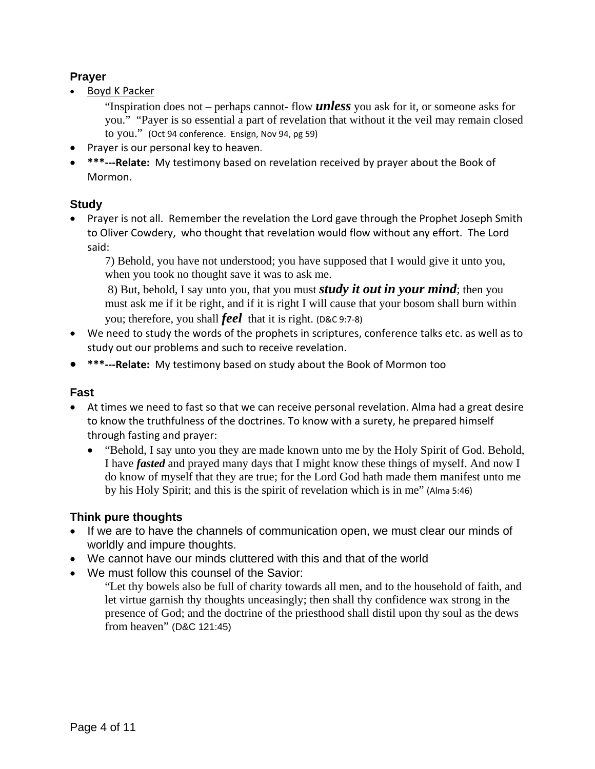# **Prayer**

• Boyd K Packer

"Inspiration does not – perhaps cannot- flow *unless* you ask for it, or someone asks for you." "Payer is so essential a part of revelation that without it the veil may remain closed to you." (Oct 94 conference. Ensign, Nov 94, pg 59)

- Prayer is our personal key to heaven.
- **\*\*\*‐‐‐Relate:** My testimony based on revelation received by prayer about the Book of Mormon.

# **Study**

• Prayer is not all. Remember the revelation the Lord gave through the Prophet Joseph Smith to Oliver Cowdery, who thought that revelation would flow without any effort. The Lord said:

7) Behold, you have not understood; you have supposed that I would give it unto you, when you took no thought save it was to ask me.

 8) But, behold, I say unto you, that you must *study it out in your mind*; then you must ask me if it be right, and if it is right I will cause that your bosom shall burn within you; therefore, you shall *feel* that it is right. (D&C 9:7‐8)

- We need to study the words of the prophets in scriptures, conference talks etc. as well as to study out our problems and such to receive revelation.
- **\*\*\*‐‐‐Relate:** My testimony based on study about the Book of Mormon too

# **Fast**

- At times we need to fast so that we can receive personal revelation. Alma had a great desire to know the truthfulness of the doctrines. To know with a surety, he prepared himself through fasting and prayer:
	- "Behold, I say unto you they are made known unto me by the Holy Spirit of God. Behold, I have *fasted* and prayed many days that I might know these things of myself. And now I do know of myself that they are true; for the Lord God hath made them manifest unto me by his Holy Spirit; and this is the spirit of revelation which is in me" (Alma 5:46)

# **Think pure thoughts**

- If we are to have the channels of communication open, we must clear our minds of worldly and impure thoughts.
- We cannot have our minds cluttered with this and that of the world
- We must follow this counsel of the Savior:

"Let thy bowels also be full of charity towards all men, and to the household of faith, and let virtue garnish thy thoughts unceasingly; then shall thy confidence wax strong in the presence of God; and the doctrine of the priesthood shall distil upon thy soul as the dews from heaven" (D&C 121:45)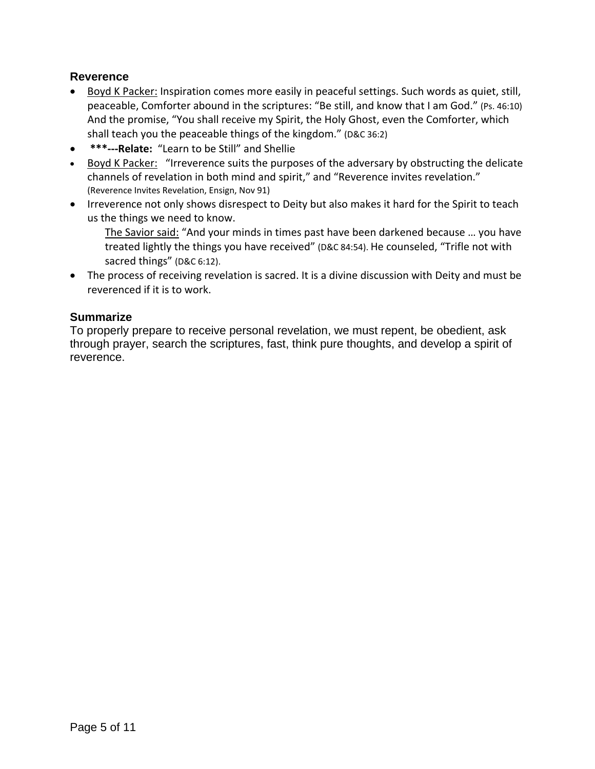# **Reverence**

- Boyd K Packer: Inspiration comes more easily in peaceful settings. Such words as quiet, still, peaceable, Comforter abound in the scriptures: "Be still, and know that I am God." (Ps. 46:10) And the promise, "You shall receive my Spirit, the Holy Ghost, even the Comforter, which shall teach you the peaceable things of the kingdom." (D&C 36:2)
- **\*\*\*‐‐‐Relate:** "Learn to be Still" and Shellie
- Boyd K Packer: "Irreverence suits the purposes of the adversary by obstructing the delicate channels of revelation in both mind and spirit," and "Reverence invites revelation." (Reverence Invites Revelation, Ensign, Nov 91)
- Irreverence not only shows disrespect to Deity but also makes it hard for the Spirit to teach us the things we need to know.

The Savior said: "And your minds in times past have been darkened because … you have treated lightly the things you have received" (D&C 84:54). He counseled, "Trifle not with sacred things" (D&C 6:12).

 The process of receiving revelation is sacred. It is a divine discussion with Deity and must be reverenced if it is to work.

### **Summarize**

To properly prepare to receive personal revelation, we must repent, be obedient, ask through prayer, search the scriptures, fast, think pure thoughts, and develop a spirit of reverence.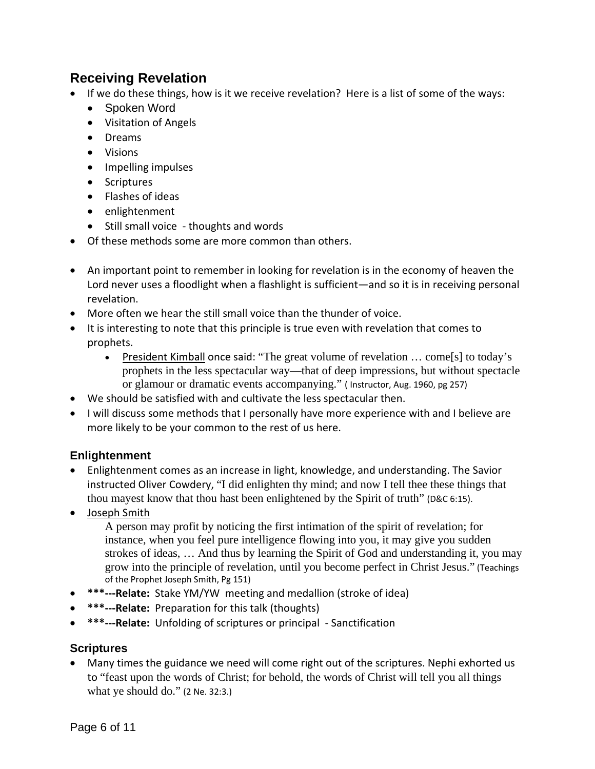# **Receiving Revelation**

- If we do these things, how is it we receive revelation? Here is a list of some of the ways:
	- Spoken Word
	- Visitation of Angels
	- Dreams
	- Visions
	- Impelling impulses
	- Scriptures
	- Flashes of ideas
	- enlightenment
	- Still small voice thoughts and words
- Of these methods some are more common than others.
- An important point to remember in looking for revelation is in the economy of heaven the Lord never uses a floodlight when a flashlight is sufficient—and so it is in receiving personal revelation.
- More often we hear the still small voice than the thunder of voice.
- It is interesting to note that this principle is true even with revelation that comes to prophets.
	- President Kimball once said: "The great volume of revelation … come[s] to today's prophets in the less spectacular way—that of deep impressions, but without spectacle or glamour or dramatic events accompanying." ( Instructor, Aug. 1960, pg 257)
- We should be satisfied with and cultivate the less spectacular then.
- I will discuss some methods that I personally have more experience with and I believe are more likely to be your common to the rest of us here.

# **Enlightenment**

- Enlightenment comes as an increase in light, knowledge, and understanding. The Savior instructed Oliver Cowdery, "I did enlighten thy mind; and now I tell thee these things that thou mayest know that thou hast been enlightened by the Spirit of truth" (D&C 6:15).
- Joseph Smith

A person may profit by noticing the first intimation of the spirit of revelation; for instance, when you feel pure intelligence flowing into you, it may give you sudden strokes of ideas, … And thus by learning the Spirit of God and understanding it, you may grow into the principle of revelation, until you become perfect in Christ Jesus." (Teachings of the Prophet Joseph Smith, Pg 151)

- **\*\*\*‐‐‐Relate:** Stake YM/YW meeting and medallion (stroke of idea)
- **\*\*\*‐‐‐Relate:** Preparation for this talk (thoughts)
- **\*\*\*‐‐‐Relate:** Unfolding of scriptures or principal ‐ Sanctification

# **Scriptures**

 Many times the guidance we need will come right out of the scriptures. Nephi exhorted us to "feast upon the words of Christ; for behold, the words of Christ will tell you all things what ye should do." (2 Ne. 32:3.)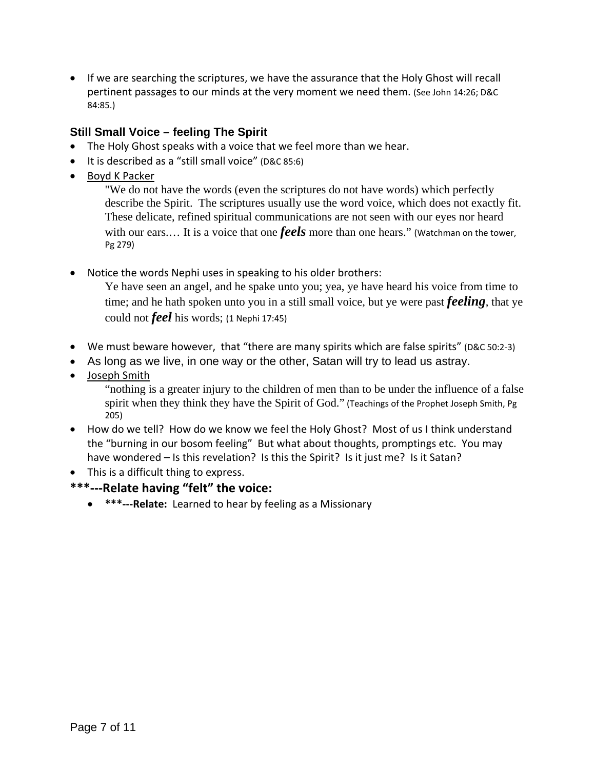• If we are searching the scriptures, we have the assurance that the Holy Ghost will recall pertinent passages to our minds at the very moment we need them. (See John 14:26; D&C 84:85.)

# **Still Small Voice – feeling The Spirit**

- The Holy Ghost speaks with a voice that we feel more than we hear.
- It is described as a "still small voice" (D&C 85:6)
- Boyd K Packer

"We do not have the words (even the scriptures do not have words) which perfectly describe the Spirit. The scriptures usually use the word voice, which does not exactly fit. These delicate, refined spiritual communications are not seen with our eyes nor heard with our ears.... It is a voice that one *feels* more than one hears." (Watchman on the tower, Pg 279)

• Notice the words Nephi uses in speaking to his older brothers:

Ye have seen an angel, and he spake unto you; yea, ye have heard his voice from time to time; and he hath spoken unto you in a still small voice, but ye were past *feeling*, that ye could not *feel* his words; (1 Nephi 17:45)

- We must beware however, that "there are many spirits which are false spirits" (D&C 50:2-3)
- As long as we live, in one way or the other, Satan will try to lead us astray.
- Joseph Smith

"nothing is a greater injury to the children of men than to be under the influence of a false spirit when they think they have the Spirit of God." (Teachings of the Prophet Joseph Smith, Pg 205)

- How do we tell? How do we know we feel the Holy Ghost? Most of us I think understand the "burning in our bosom feeling" But what about thoughts, promptings etc. You may have wondered - Is this revelation? Is this the Spirit? Is it just me? Is it Satan?
- This is a difficult thing to express.
- **\*\*\*‐‐‐Relate having "felt" the voice:**
	- **\*\*\*‐‐‐Relate:** Learned to hear by feeling as a Missionary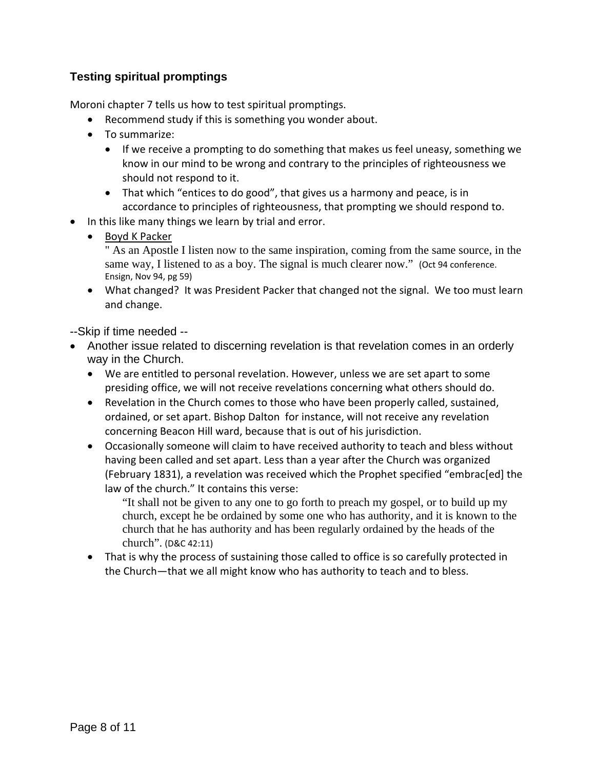# **Testing spiritual promptings**

Moroni chapter 7 tells us how to test spiritual promptings.

- Recommend study if this is something you wonder about.
- To summarize:
	- If we receive a prompting to do something that makes us feel uneasy, something we know in our mind to be wrong and contrary to the principles of righteousness we should not respond to it.
	- That which "entices to do good", that gives us a harmony and peace, is in accordance to principles of righteousness, that prompting we should respond to.
- In this like many things we learn by trial and error.
	- Boyd K Packer

" As an Apostle I listen now to the same inspiration, coming from the same source, in the same way, I listened to as a boy. The signal is much clearer now." (Oct 94 conference. Ensign, Nov 94, pg 59)

 What changed? It was President Packer that changed not the signal. We too must learn and change.

--Skip if time needed --

- Another issue related to discerning revelation is that revelation comes in an orderly way in the Church.
	- We are entitled to personal revelation. However, unless we are set apart to some presiding office, we will not receive revelations concerning what others should do.
	- Revelation in the Church comes to those who have been properly called, sustained, ordained, or set apart. Bishop Dalton for instance, will not receive any revelation concerning Beacon Hill ward, because that is out of his jurisdiction.
	- Occasionally someone will claim to have received authority to teach and bless without having been called and set apart. Less than a year after the Church was organized (February 1831), a revelation was received which the Prophet specified "embrac[ed] the law of the church." It contains this verse:

"It shall not be given to any one to go forth to preach my gospel, or to build up my church, except he be ordained by some one who has authority, and it is known to the church that he has authority and has been regularly ordained by the heads of the church". (D&C 42:11)

• That is why the process of sustaining those called to office is so carefully protected in the Church—that we all might know who has authority to teach and to bless.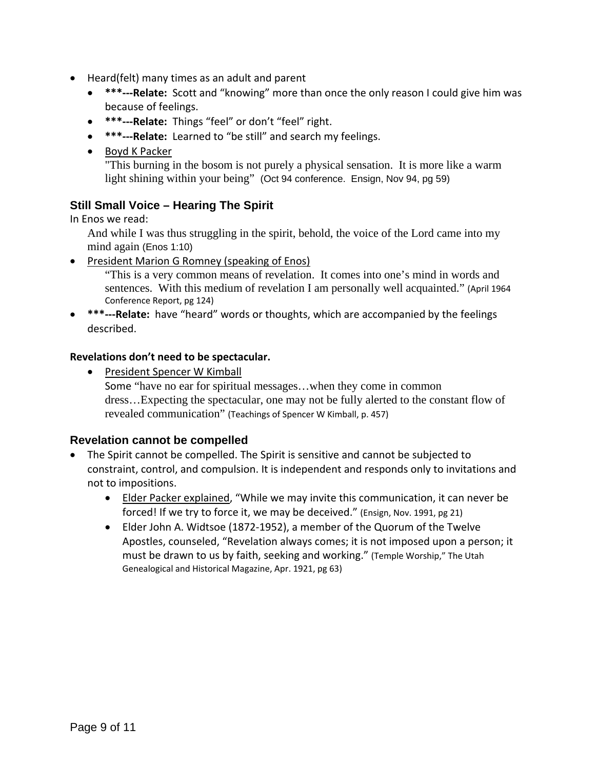- Heard(felt) many times as an adult and parent
	- **\*\*\*‐‐‐Relate:** Scott and "knowing" more than once the only reason I could give him was because of feelings.
	- **\*\*\*‐‐‐Relate:** Things "feel" or don't "feel" right.
	- **\*\*\*‐‐‐Relate:** Learned to "be still" and search my feelings.
	- Boyd K Packer

"This burning in the bosom is not purely a physical sensation. It is more like a warm light shining within your being" (Oct 94 conference. Ensign, Nov 94, pg 59)

# **Still Small Voice – Hearing The Spirit**

In Enos we read:

And while I was thus struggling in the spirit, behold, the voice of the Lord came into my mind again (Enos 1:10)

• President Marion G Romney (speaking of Enos)

"This is a very common means of revelation. It comes into one's mind in words and sentences. With this medium of revelation I am personally well acquainted." (April 1964 Conference Report, pg 124)

 **\*\*\*‐‐‐Relate:** have "heard" words or thoughts, which are accompanied by the feelings described.

### **Revelations don't need to be spectacular.**

• President Spencer W Kimball

Some "have no ear for spiritual messages…when they come in common dress…Expecting the spectacular, one may not be fully alerted to the constant flow of revealed communication" (Teachings of Spencer W Kimball, p. 457)

### **Revelation cannot be compelled**

- The Spirit cannot be compelled. The Spirit is sensitive and cannot be subjected to constraint, control, and compulsion. It is independent and responds only to invitations and not to impositions.
	- **Elder Packer explained, "While we may invite this communication, it can never be** forced! If we try to force it, we may be deceived." (Ensign, Nov. 1991, pg 21)
	- Elder John A. Widtsoe (1872‐1952), a member of the Quorum of the Twelve Apostles, counseled, "Revelation always comes; it is not imposed upon a person; it must be drawn to us by faith, seeking and working." (Temple Worship," The Utah Genealogical and Historical Magazine, Apr. 1921, pg 63)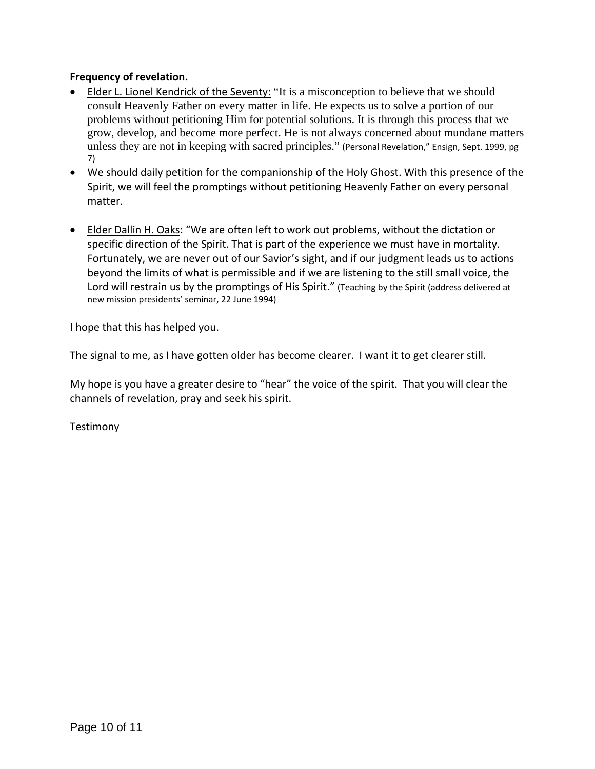### **Frequency of revelation.**

- Elder L. Lionel Kendrick of the Seventy: "It is a misconception to believe that we should consult Heavenly Father on every matter in life. He expects us to solve a portion of our problems without petitioning Him for potential solutions. It is through this process that we grow, develop, and become more perfect. He is not always concerned about mundane matters unless they are not in keeping with sacred principles." (Personal Revelation," Ensign, Sept. 1999, pg 7)
- We should daily petition for the companionship of the Holy Ghost. With this presence of the Spirit, we will feel the promptings without petitioning Heavenly Father on every personal matter.
- Elder Dallin H. Oaks: "We are often left to work out problems, without the dictation or specific direction of the Spirit. That is part of the experience we must have in mortality. Fortunately, we are never out of our Savior's sight, and if our judgment leads us to actions beyond the limits of what is permissible and if we are listening to the still small voice, the Lord will restrain us by the promptings of His Spirit." (Teaching by the Spirit (address delivered at new mission presidents' seminar, 22 June 1994)

I hope that this has helped you.

The signal to me, as I have gotten older has become clearer. I want it to get clearer still.

My hope is you have a greater desire to "hear" the voice of the spirit. That you will clear the channels of revelation, pray and seek his spirit.

Testimony